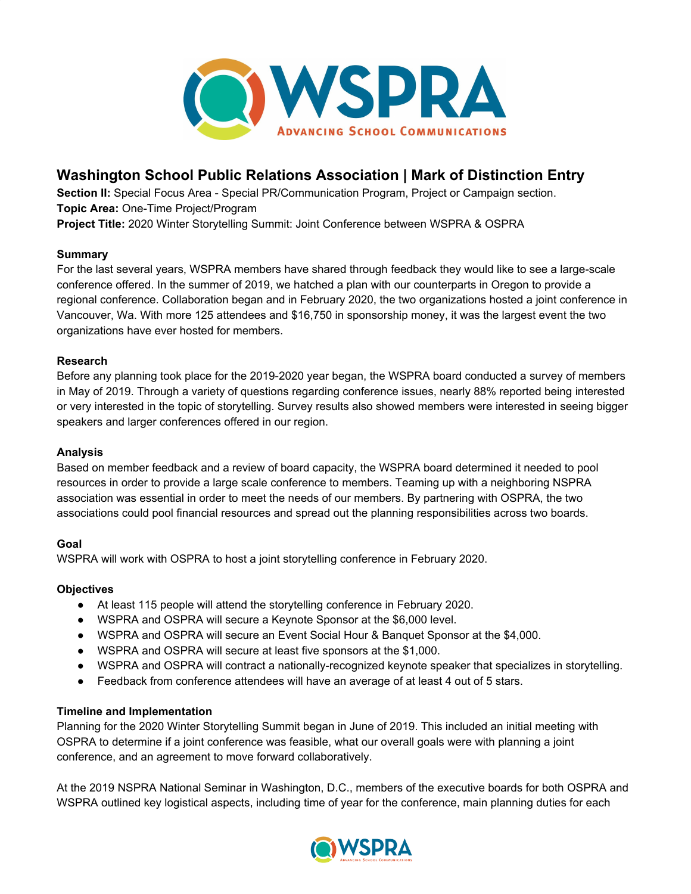

# **Washington School Public Relations Association | Mark of Distinction Entry**

**Section II:** Special Focus Area - Special PR/Communication Program, Project or Campaign section. **Topic Area:** One-Time Project/Program **Project Title:** 2020 Winter Storytelling Summit: Joint Conference between WSPRA & OSPRA

#### **Summary**

For the last several years, WSPRA members have shared through feedback they would like to see a large-scale conference offered. In the summer of 2019, we hatched a plan with our counterparts in Oregon to provide a regional conference. Collaboration began and in February 2020, the two organizations hosted a joint conference in Vancouver, Wa. With more 125 attendees and \$16,750 in sponsorship money, it was the largest event the two organizations have ever hosted for members.

## **Research**

Before any planning took place for the 2019-2020 year began, the WSPRA board conducted a survey of members in May of 2019. Through a variety of questions regarding conference issues, nearly 88% reported being interested or very interested in the topic of storytelling. Survey results also showed members were interested in seeing bigger speakers and larger conferences offered in our region.

### **Analysis**

Based on member feedback and a review of board capacity, the WSPRA board determined it needed to pool resources in order to provide a large scale conference to members. Teaming up with a neighboring NSPRA association was essential in order to meet the needs of our members. By partnering with OSPRA, the two associations could pool financial resources and spread out the planning responsibilities across two boards.

# **Goal**

WSPRA will work with OSPRA to host a joint storytelling conference in February 2020.

#### **Objectives**

- At least 115 people will attend the storytelling conference in February 2020.
- WSPRA and OSPRA will secure a Keynote Sponsor at the \$6,000 level.
- WSPRA and OSPRA will secure an Event Social Hour & Banquet Sponsor at the \$4,000.
- WSPRA and OSPRA will secure at least five sponsors at the \$1,000.
- WSPRA and OSPRA will contract a nationally-recognized keynote speaker that specializes in storytelling.
- Feedback from conference attendees will have an average of at least 4 out of 5 stars.

#### **Timeline and Implementation**

Planning for the 2020 Winter Storytelling Summit began in June of 2019. This included an initial meeting with OSPRA to determine if a joint conference was feasible, what our overall goals were with planning a joint conference, and an agreement to move forward collaboratively.

At the 2019 NSPRA National Seminar in Washington, D.C., members of the executive boards for both OSPRA and WSPRA outlined key logistical aspects, including time of year for the conference, main planning duties for each

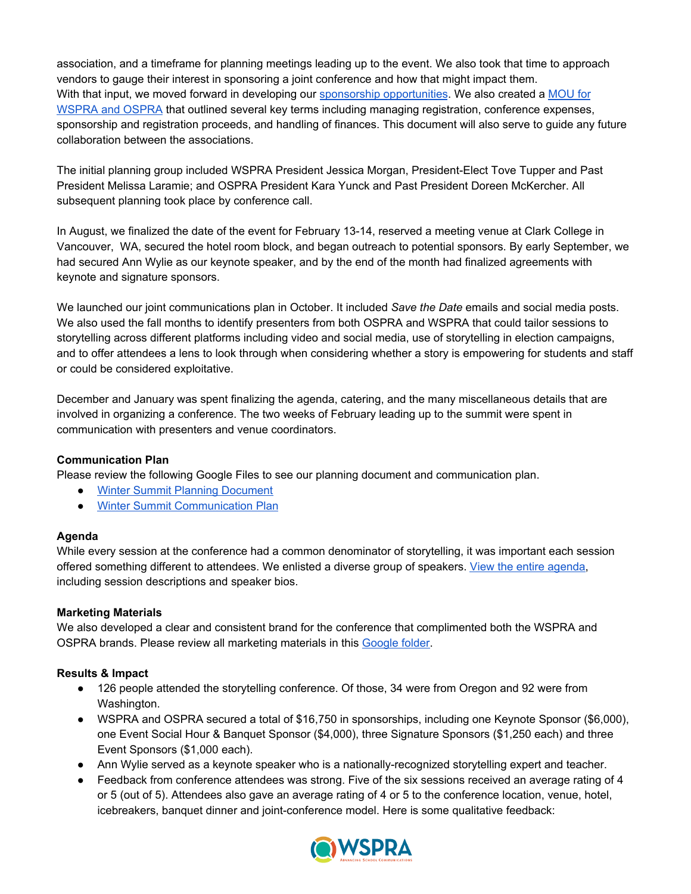association, and a timeframe for planning meetings leading up to the event. We also took that time to approach vendors to gauge their interest in sponsoring a joint conference and how that might impact them. With that input, we moved forward in developing our sponsorship [opportunities](https://docs.google.com/document/d/13c2U5QqLbQlEnVRIdtS-bFxLZL0Pqvn0BiUSb621ehM/edit). We also created a [MOU](https://docs.google.com/document/d/1ASG2g7VzgHtR_EPr1DgQ7_EjQdUWeQtti9tazC9cSN0/edit) for [WSPRA](https://docs.google.com/document/d/1ASG2g7VzgHtR_EPr1DgQ7_EjQdUWeQtti9tazC9cSN0/edit) and OSPRA that outlined several key terms including managing registration, conference expenses, sponsorship and registration proceeds, and handling of finances. This document will also serve to guide any future collaboration between the associations.

The initial planning group included WSPRA President Jessica Morgan, President-Elect Tove Tupper and Past President Melissa Laramie; and OSPRA President Kara Yunck and Past President Doreen McKercher. All subsequent planning took place by conference call.

In August, we finalized the date of the event for February 13-14, reserved a meeting venue at Clark College in Vancouver, WA, secured the hotel room block, and began outreach to potential sponsors. By early September, we had secured Ann Wylie as our keynote speaker, and by the end of the month had finalized agreements with keynote and signature sponsors.

We launched our joint communications plan in October. It included *Save the Date* emails and social media posts. We also used the fall months to identify presenters from both OSPRA and WSPRA that could tailor sessions to storytelling across different platforms including video and social media, use of storytelling in election campaigns, and to offer attendees a lens to look through when considering whether a story is empowering for students and staff or could be considered exploitative.

December and January was spent finalizing the agenda, catering, and the many miscellaneous details that are involved in organizing a conference. The two weeks of February leading up to the summit were spent in communication with presenters and venue coordinators.

#### **Communication Plan**

Please review the following Google Files to see our planning document and communication plan.

- Winter Summit Planning [Document](https://docs.google.com/document/d/1x8cIaR9AepIIhw5gNIVM2YAFnKMjDTjsWXwTPz0pLsc/edit)
- Winter Summit [Communication](https://docs.google.com/spreadsheets/d/158d_hNQCTeaS2fnDZ9YB2bc5wUBlhAL52jfQ43yb3NI/edit#gid=0) Plan

#### **Agenda**

While every session at the conference had a common denominator of storytelling, it was important each session offered something different to attendees. We enlisted a diverse group of speakers. View the entire [agenda,](https://drive.google.com/file/d/1OkxpEEHz-wxESvwsJ-ImBcPm1WiYxgHx/view?usp=sharing) including session descriptions and speaker bios.

#### **Marketing Materials**

We also developed a clear and consistent brand for the conference that complimented both the WSPRA and OSPRA brands. Please review all marketing materials in this [Google](https://drive.google.com/open?id=1mWNrE0rI_qyFe-OysdOKhLdtg1rkXfjl) folder.

#### **Results & Impact**

- 126 people attended the storytelling conference. Of those, 34 were from Oregon and 92 were from Washington.
- WSPRA and OSPRA secured a total of \$16,750 in sponsorships, including one Keynote Sponsor (\$6,000), one Event Social Hour & Banquet Sponsor (\$4,000), three Signature Sponsors (\$1,250 each) and three Event Sponsors (\$1,000 each).
- Ann Wylie served as a keynote speaker who is a nationally-recognized storytelling expert and teacher.
- Feedback from conference attendees was strong. Five of the six sessions received an average rating of 4 or 5 (out of 5). Attendees also gave an average rating of 4 or 5 to the conference location, venue, hotel, icebreakers, banquet dinner and joint-conference model. Here is some qualitative feedback: